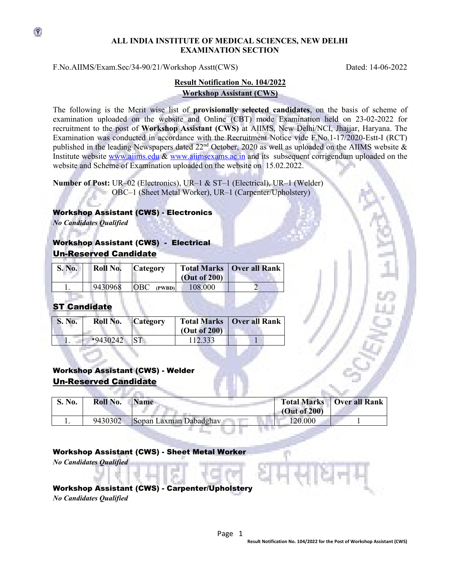### **ALL INDIA INSTITUTE OF MEDICAL SCIENCES, NEW DELHI EXAMINATION SECTION**

F.No.AIIMS/Exam.Sec/34-90/21/Workshop Asstt(CWS) Dated: 14-06-2022

## **Result Notification No. 104/2022 Workshop Assistant (CWS)**

The following is the Merit wise list of **provisionally selected candidates**, on the basis of scheme of examination uploaded on the website and Online (CBT) mode Examination held on 23-02-2022 for recruitment to the post of **Workshop Assistant (CWS)** at AIIMS, New Delhi/NCI, Jhajjar, Haryana. The Examination was conducted in accordance with the Recruitment Notice vide F.No.1-17/2020-Estt-I (RCT) published in the leading Newspapers dated 22<sup>nd</sup> October, 2020 as well as uploaded on the AIIMS website & Institute website [www.aiims.edu](http://www.aiims.edu/) & [www.aiimsexams.ac.in](http://www.aiimsexams.ac.in/) and its subsequent corrigendum uploaded on the website and Scheme of Examination uploaded on the website on 15.02.2022.

**Number of Post:** UR–02 (Electronics), UR–1 & ST–1 (Electrical), UR–1 (Welder) OBC–1 (Sheet Metal Worker), UR–1 (Carpenter/Upholstery)

#### Workshop Assistant (CWS) - Electronics

*No Candidates Qualified*

 $\circledast$ 

# Workshop Assistant (CWS) - Electrical Un-Reserved Candidate

| <b>S. No.</b> | Roll No. | <b>Category</b>      | (Out of 200) | <b>Total Marks   Over all Rank</b> |
|---------------|----------|----------------------|--------------|------------------------------------|
|               | 9430968  | <b>OBC</b><br>(PWBD) | 108.000      |                                    |

# **ST Candida**

| <b>S. No.</b> | Roll No.   | <b>Category</b> | (Out of 200) | <b>Total Marks   Over all Rank</b> |
|---------------|------------|-----------------|--------------|------------------------------------|
|               | $*9430242$ |                 | 12.333       |                                    |

# Workshop Assistant (CWS) - Welder Un-Reserved Candidate

| <b>S. No.</b> | Roll No. | <b>Name</b>            | (Out of 200) | <b>Total Marks</b>   Over all Rank |
|---------------|----------|------------------------|--------------|------------------------------------|
|               | 9430302  | Sopan Laxman Dabadghay | 120.000      |                                    |

### Workshop Assistant (CWS) - Sheet Metal Worker

*No Candidates Qualified*

## Workshop Assistant (CWS) - Carpenter/Upholstery

*No Candidates Qualified*